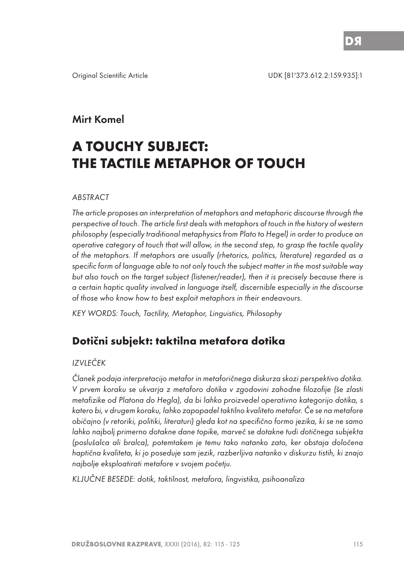## Mirt Komel

# **A TOUCHY SUBJECT: THE TACTILE METAPHOR OF TOUCH**

#### ABSTRACT

The article proposes an interpretation of metaphors and metaphoric discourse through the perspective of touch. The article first deals with metaphors of touch in the history of western philosophy (especially traditional metaphysics from Plato to Hegel) in order to produce an operative category of touch that will allow, in the second step, to grasp the tactile quality of the metaphors. If metaphors are usually (rhetorics, politics, literature) regarded as a specific form of language able to not only touch the subject matter in the most suitable way but also touch on the target subject (listener/reader), then it is precisely because there is a certain haptic quality involved in language itself, discernible especially in the discourse of those who know how to best exploit metaphors in their endeavours.

KEY WORDS: Touch, Tactility, Metaphor, Linguistics, Philosophy

## **Dotični subjekt: taktilna metafora dotika**

## IZVLEČEK

Članek podaja interpretacijo metafor in metaforičnega diskurza skozi perspektivo dotika. V prvem koraku se ukvarja z metaforo dotika v zgodovini zahodne filozofije (še zlasti metafizike od Platona do Hegla), da bi lahko proizvedel operativno kategorijo dotika, s katero bi, v drugem koraku, lahko zapopadel taktilno kvaliteto metafor. Če se na metafore običajno (v retoriki, politiki, literaturi) gleda kot na specifično formo jezika, ki se ne samo lahko najbolj primerno dotakne dane topike, marveč se dotakne tudi dotičnega subjekta (poslušalca ali bralca), potemtakem je temu tako natanko zato, ker obstaja določena haptična kvaliteta, ki jo poseduje sam jezik, razberljiva natanko v diskurzu tistih, ki znajo najbolje eksploatirati metafore v svojem početju.

KLJUČNE BESEDE: dotik, taktilnost, metafora, lingvistika, psihoanaliza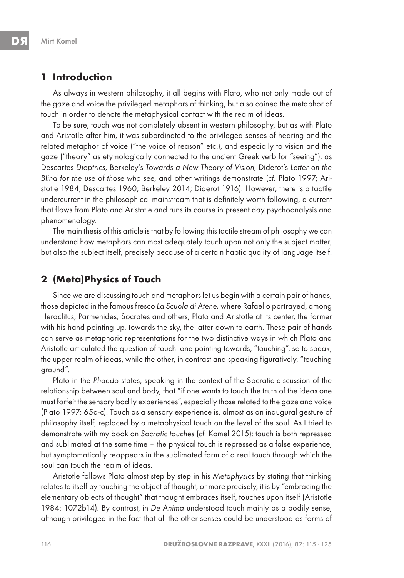## **1 Introduction**

As always in western philosophy, it all begins with Plato, who not only made out of the gaze and voice the privileged metaphors of thinking, but also coined the metaphor of touch in order to denote the metaphysical contact with the realm of ideas.

To be sure, touch was not completely absent in western philosophy, but as with Plato and Aristotle after him, it was subordinated to the privileged senses of hearing and the related metaphor of voice ("the voice of reason" etc.), and especially to vision and the gaze ("theory" as etymologically connected to the ancient Greek verb for "seeing"), as Descartes Dioptrics, Berkeley's Towards a New Theory of Vision, Diderot's Letter on the Blind for the use of those who see, and other writings demonstrate (cf. Plato 1997; Aristotle 1984; Descartes 1960; Berkeley 2014; Diderot 1916). However, there is a tactile undercurrent in the philosophical mainstream that is definitely worth following, a current that flows from Plato and Aristotle and runs its course in present day psychoanalysis and phenomenology.

The main thesis of this article is that by following this tactile stream of philosophy we can understand how metaphors can most adequately touch upon not only the subject matter, but also the subject itself, precisely because of a certain haptic quality of language itself.

## **2 (Meta)Physics of Touch**

Since we are discussing touch and metaphors let us begin with a certain pair of hands, those depicted in the famous fresco La Scuola di Atene, where Rafaello portrayed, among Heraclitus, Parmenides, Socrates and others, Plato and Aristotle at its center, the former with his hand pointing up, towards the sky, the latter down to earth. These pair of hands can serve as metaphoric representations for the two distinctive ways in which Plato and Aristotle articulated the question of touch: one pointing towards, "touching", so to speak, the upper realm of ideas, while the other, in contrast and speaking figuratively, "touching ground".

Plato in the Phaedo states, speaking in the context of the Socratic discussion of the relationship between soul and body, that "if one wants to touch the truth of the ideas one must forfeit the sensory bodily experiences", especially those related to the gaze and voice (Plato 1997: 65a-c). Touch as a sensory experience is, almost as an inaugural gesture of philosophy itself, replaced by a metaphysical touch on the level of the soul. As I tried to demonstrate with my book on Socratic touches (cf. Komel 2015): touch is both repressed and sublimated at the same time – the physical touch is repressed as a false experience, but symptomatically reappears in the sublimated form of a real touch through which the soul can touch the realm of ideas.

Aristotle follows Plato almost step by step in his Metaphysics by stating that thinking relates to itself by touching the object of thought, or more precisely, it is by "embracing the elementary objects of thought" that thought embraces itself, touches upon itself (Aristotle 1984: 1072b14). By contrast, in De Anima understood touch mainly as a bodily sense, although privileged in the fact that all the other senses could be understood as forms of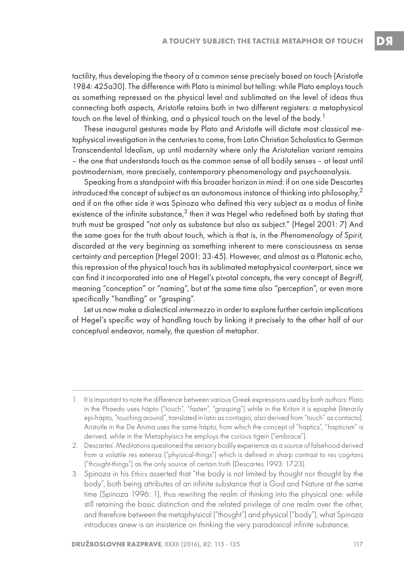tactility, thus developing the theory of a common sense precisely based on touch (Aristotle 1984: 425a30). The difference with Plato is minimal but telling: while Plato employs touch as something repressed on the physical level and sublimated on the level of ideas thus connecting both aspects, Aristotle retains both in two different registers: a metaphysical touch on the level of thinking, and a physical touch on the level of the body.<sup>1</sup>

These inaugural gestures made by Plato and Aristotle will dictate most classical metaphysical investigation in the centuries to come, from Latin Christian Scholastics to German Transcendental Idealism, up until modernity where only the Aristotelian variant remains – the one that understands touch as the common sense of all bodily senses – at least until postmodernism, more precisely, contemporary phenomenology and psychoanalysis.

Speaking from a standpoint with this broader horizon in mind: if on one side Descartes introduced the concept of subject as an autonomous instance of thinking into philosophy,<sup>2</sup> and if on the other side it was Spinoza who defined this very subject as a modus of finite existence of the infinite substance, $3$  then it was Hegel who redefined both by stating that truth must be grasped "not only as substance but also as subject." (Hegel 2001: 7) And the same goes for the truth about touch, which is that is, in the Phenomenology of Spirit, discarded at the very beginning as something inherent to mere consciousness as sense certainty and perception (Hegel 2001: 33-45). However, and almost as a Platonic echo, this repression of the physical touch has its sublimated metaphysical counterpart, since we can find it incorporated into one of Hegel's pivotal concepts, the very concept of Begriff, meaning "conception" or "naming", but at the same time also "perception", or even more specifically "handling" or "grasping".

Let us now make a dialectical intermezzo in order to explore further certain implications of Hegel's specific way of handling touch by linking it precisely to the other half of our conceptual endeavor, namely, the question of metaphor.

<sup>1.</sup> It is important to note the difference between various Greek expressions used by both authors: Plato in the Phaedo uses hápto ("touch", "fasten", "grasping") while in the Kriton it is epaphé (literarily epi-hápto, "touching around", translated in latin as contagio, also derived from "touch" as contacto). Aristotle in the De Anima uses the same hápto, from which the concept of "haptics", "hapticism" is derived, while in the Metaphyisics he employs the curious tigein ("embrace").

<sup>2.</sup> Descartes' Meditations questioned the sensory bodily experience as a source of falsehood derived from a volatile res extensa ("phyisical-things") which is defined in sharp contrast to res cogitans ("thought-things") as the only source of certain truth (Descartes 1993: 17-23).

<sup>3.</sup> Spinoza in his Ethics asserted that "the body is not limited by thought nor thought by the body", both being attributes of an infinite substance that is God and Nature at the same time (Spinoza 1996: 1), thus rewriting the realm of thinking into the physical one: while still retaining the basic distinction and the related privilege of one realm over the other, and therefore between the metaphyisical ("thought") and physical ("body"), what Spinoza introduces anew is an insistence on thinking the very paradoxical infinite substance.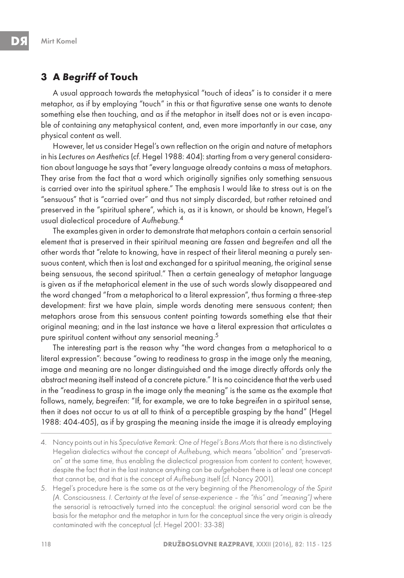## **3 A Begriff of Touch**

A usual approach towards the metaphysical "touch of ideas" is to consider it a mere metaphor, as if by employing "touch" in this or that figurative sense one wants to denote something else then touching, and as if the metaphor in itself does not or is even incapable of containing any metaphysical content, and, even more importantly in our case, any physical content as well.

However, let us consider Hegel's own reflection on the origin and nature of metaphors in his Lectures on Aesthetics (cf. Hegel 1988: 404): starting from a very general consideration about language he says that "every language already contains a mass of metaphors. They arise from the fact that a word which originally signifies only something sensuous is carried over into the spiritual sphere." The emphasis I would like to stress out is on the "sensuous" that is "carried over" and thus not simply discarded, but rather retained and preserved in the "spiritual sphere", which is, as it is known, or should be known, Hegel's usual dialectical procedure of Aufhebung. 4

The examples given in order to demonstrate that metaphors contain a certain sensorial element that is preserved in their spiritual meaning are fassen and begreifen and all the other words that "relate to knowing, have in respect of their literal meaning a purely sensuous content, which then is lost and exchanged for a spiritual meaning, the original sense being sensuous, the second spiritual." Then a certain genealogy of metaphor language is given as if the metaphorical element in the use of such words slowly disappeared and the word changed "from a metaphorical to a literal expression", thus forming a three-step development: first we have plain, simple words denoting mere sensuous content; then metaphors arose from this sensuous content pointing towards something else that their original meaning; and in the last instance we have a literal expression that articulates a pure spiritual content without any sensorial meaning.<sup>5</sup>

The interesting part is the reason why "the word changes from a metaphorical to a literal expression": because "owing to readiness to grasp in the image only the meaning, image and meaning are no longer distinguished and the image directly affords only the abstract meaning itself instead of a concrete picture." It is no coincidence that the verb used in the "readiness to grasp in the image only the meaning" is the same as the example that follows, namely, begreifen: "If, for example, we are to take begreifen in a spiritual sense, then it does not occur to us at all to think of a perceptible grasping by the hand" (Hegel 1988: 404-405), as if by grasping the meaning inside the image it is already employing

5. Hegel's procedure here is the same as at the very beginning of the Phenomenology of the Spirit (A. Consciousness. I. Certainty at the level of sense-experience – the "this" and "meaning") where the sensorial is retroactively turned into the conceptual: the original sensorial word can be the basis for the metaphor and the metaphor in turn for the conceptual since the very origin is already contaminated with the conceptual (cf. Hegel 2001: 33-38)

<sup>4.</sup> Nancy points out in his Speculative Remark: One of Hegel's Bons Mots that there is no distinctively Hegelian dialectics without the concept of Aufhebung, which means "abolition" and "preservation" at the same time, thus enabling the dialectical progression from content to content; however, despite the fact that in the last instance anything can be aufgehoben there is at least one concept that cannot be, and that is the concept of Aufhebung itself (cf. Nancy 2001).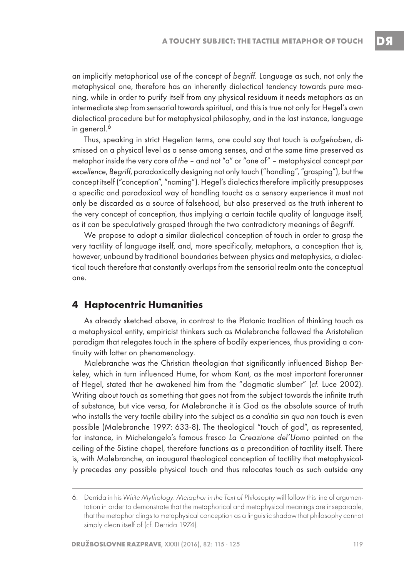an implicitly metaphorical use of the concept of begriff. Language as such, not only the metaphysical one, therefore has an inherently dialectical tendency towards pure meaning, while in order to purify itself from any physical residuum it needs metaphors as an intermediate step from sensorial towards spiritual, and this is true not only for Hegel's own dialectical procedure but for metaphysical philosophy, and in the last instance, language in general.<sup>6</sup>

Thus, speaking in strict Hegelian terms, one could say that touch is aufgehoben, dismissed on a physical level as a sense among senses, and at the same time preserved as metaphor inside the very core of the – and not "a" or "one of" – metaphysical concept par excellence, Begriff, paradoxically designing not only touch ("handling", "grasping"), but the concept itself ("conception", "naming"). Hegel's dialectics therefore implicitly presupposes a specific and paradoxical way of handling touch**:** as a sensory experience it must not only be discarded as a source of falsehood, but also preserved as the truth inherent to the very concept of conception, thus implying a certain tactile quality of language itself, as it can be speculatively grasped through the two contradictory meanings of Begriff.

We propose to adopt a similar dialectical conception of touch in order to grasp the very tactility of language itself, and, more specifically, metaphors, a conception that is, however, unbound by traditional boundaries between physics and metaphysics, a dialectical touch therefore that constantly overlaps from the sensorial realm onto the conceptual one.

#### **4 Haptocentric Humanities**

As already sketched above, in contrast to the Platonic tradition of thinking touch as a metaphysical entity, empiricist thinkers such as Malebranche followed the Aristotelian paradigm that relegates touch in the sphere of bodily experiences, thus providing a continuity with latter on phenomenology.

Malebranche was the Christian theologian that significantly influenced Bishop Berkeley, which in turn influenced Hume, for whom Kant, as the most important forerunner of Hegel, stated that he awakened him from the "dogmatic slumber" (cf. Luce 2002). Writing about touch as something that goes not from the subject towards the infinite truth of substance, but vice versa, for Malebranche it is God as the absolute source of truth who installs the very tactile ability into the subject as a conditio sin qua non touch is even possible (Malebranche 1997: 633-8). The theological "touch of god", as represented, for instance, in Michelangelo's famous fresco La Creazione del'Uomo painted on the ceiling of the Sistine chapel, therefore functions as a precondition of tactility itself. There is, with Malebranche, an inaugural theological conception of tactility that metaphysically precedes any possible physical touch and thus relocates touch as such outside any

<sup>6.</sup> Derrida in his White Mythology: Metaphor in the Text of Philosophy will follow this line of argumentation in order to demonstrate that the metaphorical and metaphysical meanings are inseparable, that the metaphor clings to metaphysical conception as a linguistic shadow that philosophy cannot simply clean itself of (cf. Derrida 1974).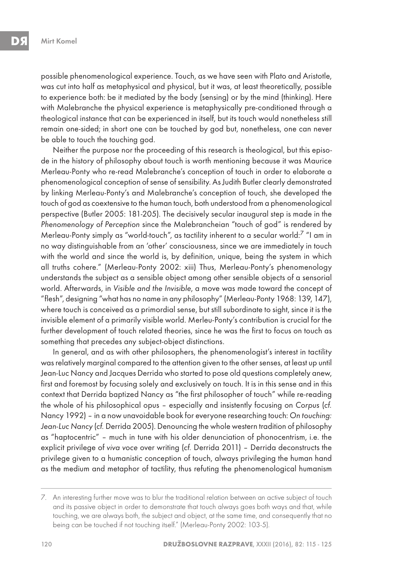possible phenomenological experience. Touch, as we have seen with Plato and Aristotle, was cut into half as metaphysical and physical, but it was, at least theoretically, possible to experience both: be it mediated by the body (sensing) or by the mind (thinking). Here with Malebranche the physical experience is metaphysically pre-conditioned through a theological instance that can be experienced in itself, but its touch would nonetheless still remain one-sided; in short one can be touched by god but, nonetheless, one can never be able to touch the touching god.

Neither the purpose nor the proceeding of this research is theological, but this episode in the history of philosophy about touch is worth mentioning because it was Maurice Merleau-Ponty who re-read Malebranche's conception of touch in order to elaborate a phenomenological conception of sense of sensibility. As Judith Butler clearly demonstrated by linking Merleau-Ponty's and Malebranche's conception of touch, she developed the touch of god as coextensive to the human touch, both understood from a phenomenological perspective (Butler 2005: 181-205). The decisively secular inaugural step is made in the Phenomenology of Perception since the Malebrancheian "touch of god" is rendered by Merleau-Ponty simply as "world-touch", as tactility inherent to a secular world:<sup>7</sup> "I am in no way distinguishable from an 'other' consciousness, since we are immediately in touch with the world and since the world is, by definition, unique, being the system in which all truths cohere." (Merleau-Ponty 2002: xiii) Thus, Merleau-Ponty's phenomenology understands the subject as a sensible object among other sensible objects of a sensorial world. Afterwards, in Visible and the Invisible, a move was made toward the concept of "flesh", designing "what has no name in any philosophy" (Merleau-Ponty 1968: 139, 147), where touch is conceived as a primordial sense, but still subordinate to sight, since it is the invisible element of a primarily visible world. Merleu-Ponty's contribution is crucial for the further development of touch related theories, since he was the first to focus on touch as something that precedes any subject-object distinctions.

In general, and as with other philosophers, the phenomenologist's interest in tactility was relatively marginal compared to the attention given to the other senses, at least up until Jean-Luc Nancy and Jacques Derrida who started to pose old questions completely anew, first and foremost by focusing solely and exclusively on touch. It is in this sense and in this context that Derrida baptized Nancy as "the first philosopher of touch" while re-reading the whole of his philosophical opus – especially and insistently focusing on Corpus (cf. Nancy 1992) – in a now unavoidable book for everyone researching touch: On touching: Jean-Luc Nancy (cf. Derrida 2005). Denouncing the whole western tradition of philosophy as "haptocentric" – much in tune with his older denunciation of phonocentrism, i.e. the explicit privilege of viva voce over writing (cf. Derrida 2011) – Derrida deconstructs the privilege given to a humanistic conception of touch, always privileging the human hand as the medium and metaphor of tactility, thus refuting the phenomenological humanism

<sup>7.</sup> An interesting further move was to blur the traditional relation between an active subject of touch and its passive object in order to demonstrate that touch always goes both ways and that, while touching, we are always both, the subject and object, at the same time, and consequently that no being can be touched if not touching itself." (Merleau-Ponty 2002: 103-5).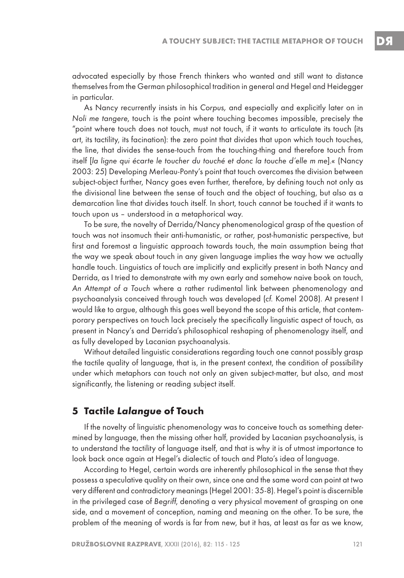advocated especially by those French thinkers who wanted and still want to distance themselves from the German philosophical tradition in general and Hegel and Heidegger in particular.

As Nancy recurrently insists in his Corpus, and especially and explicitly later on in Noli me tangere, touch is the point where touching becomes impossible, precisely the "point where touch does not touch, must not touch, if it wants to articulate its touch (its art, its tactility, its facination): the zero point that divides that upon which touch touches, the line, that divides the sense-touch from the touching-thing and therefore touch from itself [la ligne qui écarte le toucher du touché et donc la touche d'elle m me].« (Nancy 2003: 25) Developing Merleau-Ponty's point that touch overcomes the division between subject-object further, Nancy goes even further, therefore, by defining touch not only as the divisional line between the sense of touch and the object of touching, but also as a demarcation line that divides touch itself. In short, touch cannot be touched if it wants to touch upon us – understood in a metaphorical way.

To be sure, the novelty of Derrida/Nancy phenomenological grasp of the question of touch was not insomuch their anti-humanistic, or rather, post-humanistic perspective, but first and foremost a linguistic approach towards touch, the main assumption being that the way we speak about touch in any given language implies the way how we actually handle touch. Linguistics of touch are implicitly and explicitly present in both Nancy and Derrida, as I tried to demonstrate with my own early and somehow naive book on touch, An Attempt of a Touch where a rather rudimental link between phenomenology and psychoanalysis conceived through touch was developed (cf. Komel 2008). At present I would like to argue, although this goes well beyond the scope of this article, that contemporary perspectives on touch lack precisely the specifically linguistic aspect of touch, as present in Nancy's and Derrida's philosophical reshaping of phenomenology itself, and as fully developed by Lacanian psychoanalysis.

Without detailed linguistic considerations regarding touch one cannot possibly grasp the tactile quality of language, that is, in the present context, the condition of possibility under which metaphors can touch not only an given subject-matter, but also, and most significantly, the listening or reading subject itself.

#### **5 Tactile Lalangue of Touch**

If the novelty of linguistic phenomenology was to conceive touch as something determined by language, then the missing other half, provided by Lacanian psychoanalysis, is to understand the tactility of language itself, and that is why it is of utmost importance to look back once again at Hegel's dialectic of touch and Plato's idea of language.

According to Hegel, certain words are inherently philosophical in the sense that they possess a speculative quality on their own, since one and the same word can point at two very different and contradictory meanings (Hegel 2001: 35-8). Hegel's point is discernible in the privileged case of Begriff, denoting a very physical movement of grasping on one side, and a movement of conception, naming and meaning on the other. To be sure, the problem of the meaning of words is far from new, but it has, at least as far as we know,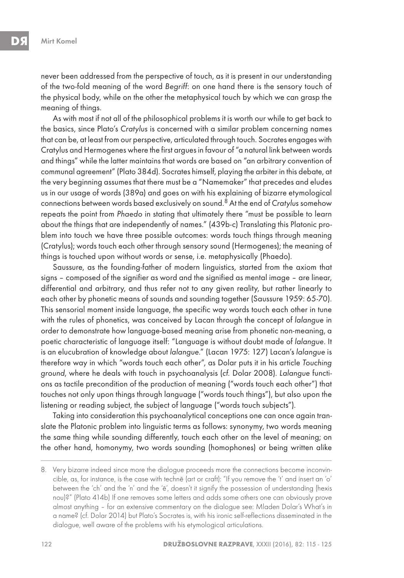never been addressed from the perspective of touch, as it is present in our understanding of the two-fold meaning of the word Begriff: on one hand there is the sensory touch of the physical body, while on the other the metaphysical touch by which we can grasp the meaning of things.

As with most if not all of the philosophical problems it is worth our while to get back to the basics, since Plato's Cratylus is concerned with a similar problem concerning names that can be, at least from our perspective, articulated through touch. Socrates engages with Cratylus and Hermogenes where the first argues in favour of "a natural link between words and things" while the latter maintains that words are based on "an arbitrary convention of communal agreement" (Plato 384d). Socrates himself, playing the arbiter in this debate, at the very beginning assumes that there must be a "Namemaker" that precedes and eludes us in our usage of words (389a) and goes on with his explaining of bizarre etymological connections between words based exclusively on sound.8 At the end of Cratylus somehow repeats the point from Phaedo in stating that ultimately there "must be possible to learn about the things that are independently of names." (439b-c) Translating this Platonic problem into touch we have three possible outcomes: words touch things through meaning (Cratylus); words touch each other through sensory sound (Hermogenes); the meaning of things is touched upon without words or sense, i.e. metaphysically (Phaedo).

Saussure, as the founding-father of modern linguistics, started from the axiom that signs – composed of the signifier as word and the signified as mental image – are linear, differential and arbitrary, and thus refer not to any given reality, but rather linearly to each other by phonetic means of sounds and sounding together (Saussure 1959: 65-70). This sensorial moment inside language, the specific way words touch each other in tune with the rules of phonetics, was conceived by Lacan through the concept of lalangue in order to demonstrate how language-based meaning arise from phonetic non-meaning, a poetic characteristic of language itself: "Language is without doubt made of lalangue. It is an elucubration of knowledge about lalangue." (Lacan 1975: 127) Lacan's lalangue is therefore way in which "words touch each other", as Dolar puts it in his article Touching ground, where he deals with touch in psychoanalysis (cf. Dolar 2008). Lalangue functions as tactile precondition of the production of meaning ("words touch each other") that touches not only upon things through language ("words touch things"), but also upon the listening or reading subject, the subject of language ("words touch subjects").

Taking into consideration this psychoanalytical conceptions one can once again translate the Platonic problem into linguistic terms as follows: synonymy, two words meaning the same thing while sounding differently, touch each other on the level of meaning; on the other hand, homonymy, two words sounding (homophones) or being written alike

<sup>8.</sup> Very bizarre indeed since more the dialogue proceeds more the connections become inconvincible, as, for instance, is the case with technē (art or craft): "If you remove the 't' and insert an 'o' between the 'ch' and the 'n' and the 'e', doesn't it signify the possession of understanding (hexis nou)?" (Plato 414b) If one removes some letters and adds some others one can obviously prove almost anything – for an extensive commentary on the dialogue see: Mladen Dolar's What's in a name? (cf. Dolar 2014) but Plato's Socrates is, with his ironic self-reflections disseminated in the dialogue, well aware of the problems with his etymological articulations.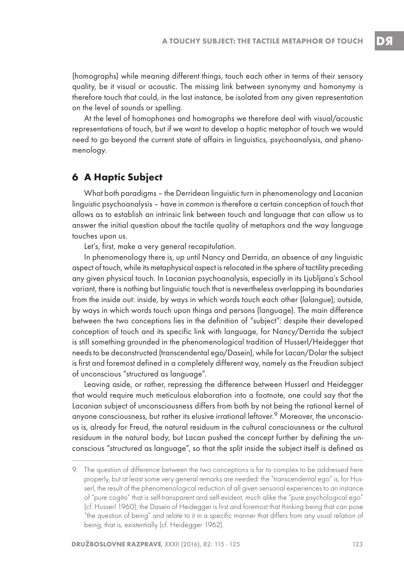DЯ

(homographs) while meaning different things, touch each other in terms of their sensory quality, be it visual or acoustic. The missing link between synonymy and homonymy is therefore touch that could, in the last instance, be isolated from any given representation on the level of sounds or spelling.

At the level of homophones and homographs we therefore deal with visual/acoustic representations of touch, but if we want to develop a haptic metaphor of touch we would need to go beyond the current state of affairs in linguistics, psychoanalysis, and phenomenology.

## **6 A Haptic Subject**

What both paradigms – the Derridean linguistic turn in phenomenology and Lacanian linguistic psychoanalysis – have in common is therefore a certain conception of touch that allows as to establish an intrinsic link between touch and language that can allow us to answer the initial question about the tactile quality of metaphors and the way language touches upon us.

Let's, first, make a very general recapitulation.

In phenomenology there is, up until Nancy and Derrida, an absence of any linguistic aspect of touch, while its metaphysical aspect is relocated in the sphere of tactility preceding any given physical touch. In Lacanian psychoanalysis, especially in its Ljubljana's School variant, there is nothing but linguistic touch that is nevertheless overlapping its boundaries from the inside out: inside, by ways in which words touch each other (lalangue); outside, by ways in which words touch upon things and persons (language). The main difference between the two conceptions lies in the definition of "subject": despite their developed conception of touch and its specific link with language, for Nancy/Derrida the subject is still something grounded in the phenomenological tradition of Husserl/Heidegger that needs to be deconstructed (transcendental ego/Dasein), while for Lacan/Dolar the subject is first and foremost defined in a completely different way, namely as the Freudian subject of unconscious "structured as language".

Leaving aside, or rather, repressing the difference between Husserl and Heidegger that would require much meticulous elaboration into a footnote, one could say that the Lacanian subject of unconsciousness differs from both by not being the rational kernel of anyone consciousness, but rather its elusive irrational leftover.<sup>9</sup> Moreover, the unconscious is, already for Freud, the natural residuum in the cultural consciousness or the cultural residuum in the natural body, but Lacan pushed the concept further by defining the unconscious "structured as language", so that the split inside the subject itself is defined as

<sup>9.</sup> The question of difference between the two conceptions is far to complex to be addressed here properly, but at least some very general remarks are needed: the "transcendental ego" is, for Husserl, the result of the phenomenological reduction of all given sensorial experiences to an instance of "pure cogito" that is self-transparent and self-evident, much alike the "pure psychological ego" (cf. Husserl 1960); the Dasein of Heidegger is first and foremost that thinking being that can pose "the question of being" and relate to it in a specific manner that differs from any usual relation of being, that is, existentially (cf. Heidegger 1962).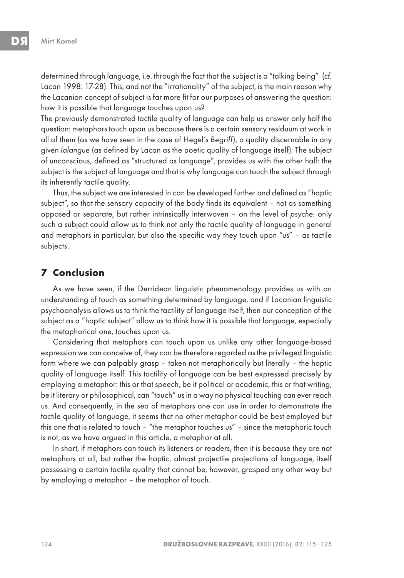determined through language, i.e. through the fact that the subject is a "talking being" (cf. Lacan 1998: 17-28). This, and not the "irrationality" of the subject, is the main reason why the Lacanian concept of subject is far more fit for our purposes of answering the question: how it is possible that language touches upon us?

The previously demonstrated tactile quality of language can help us answer only half the question: metaphors touch upon us because there is a certain sensory residuum at work in all of them (as we have seen in the case of Hegel's Begriff), a quality discernable in any given lalangue (as defined by Lacan as the poetic quality of language itself). The subject of unconscious, defined as "structured as language", provides us with the other half: the subject is the subject of language and that is why language can touch the subject through its inherently tactile quality.

Thus, the subject we are interested in can be developed further and defined as "haptic subject", so that the sensory capacity of the body finds its equivalent – not as something opposed or separate, but rather intrinsically interwoven – on the level of psyche: only such a subject could allow us to think not only the tactile quality of language in general and metaphors in particular, but also the specific way they touch upon "us" – as tactile subjects.

## **7 Conclusion**

As we have seen, if the Derridean linguistic phenomenology provides us with an understanding of touch as something determined by language, and if Lacanian linguistic psychoanalysis allows us to think the tactility of language itself, then our conception of the subject as a "haptic subject" allow us to think how it is possible that language, especially the metaphorical one, touches upon us.

Considering that metaphors can touch upon us unlike any other language-based expression we can conceive of, they can be therefore regarded as the privileged linguistic form where we can palpably grasp – taken not metaphorically but literally – the haptic quality of language itself. This tactility of language can be best expressed precisely by employing a metaphor: this or that speech, be it political or academic, this or that writing, be it literary or philosophical, can "touch" us in a way no physical touching can ever reach us. And consequently, in the sea of metaphors one can use in order to demonstrate the tactile quality of language, it seems that no other metaphor could be best employed but this one that is related to touch – "the metaphor touches us" – since the metaphoric touch is not, as we have argued in this article, a metaphor at all.

In short, if metaphors can touch its listeners or readers, then it is because they are not metaphors at all, but rather the haptic, almost projectile projections of language, itself possessing a certain tactile quality that cannot be, however, grasped any other way but by employing a metaphor – the metaphor of touch.